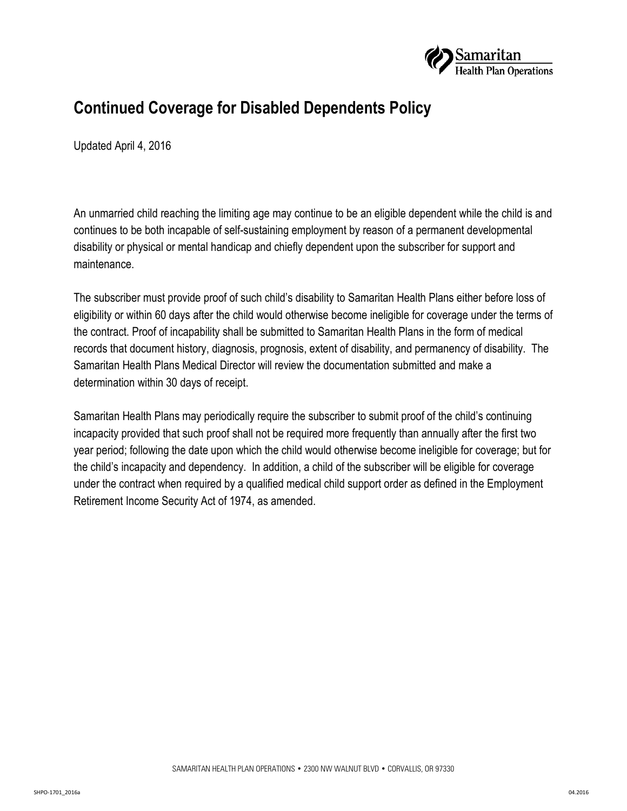

## **Continued Coverage for Disabled Dependents Policy**

Updated April 4, 2016

An unmarried child reaching the limiting age may continue to be an eligible dependent while the child is and continues to be both incapable of self-sustaining employment by reason of a permanent developmental disability or physical or mental handicap and chiefly dependent upon the subscriber for support and maintenance.

The subscriber must provide proof of such child's disability to Samaritan Health Plans either before loss of eligibility or within 60 days after the child would otherwise become ineligible for coverage under the terms of the contract. Proof of incapability shall be submitted to Samaritan Health Plans in the form of medical records that document history, diagnosis, prognosis, extent of disability, and permanency of disability. The Samaritan Health Plans Medical Director will review the documentation submitted and make a determination within 30 days of receipt.

Samaritan Health Plans may periodically require the subscriber to submit proof of the child's continuing incapacity provided that such proof shall not be required more frequently than annually after the first two year period; following the date upon which the child would otherwise become ineligible for coverage; but for the child's incapacity and dependency. In addition, a child of the subscriber will be eligible for coverage under the contract when required by a qualified medical child support order as defined in the Employment Retirement Income Security Act of 1974, as amended.